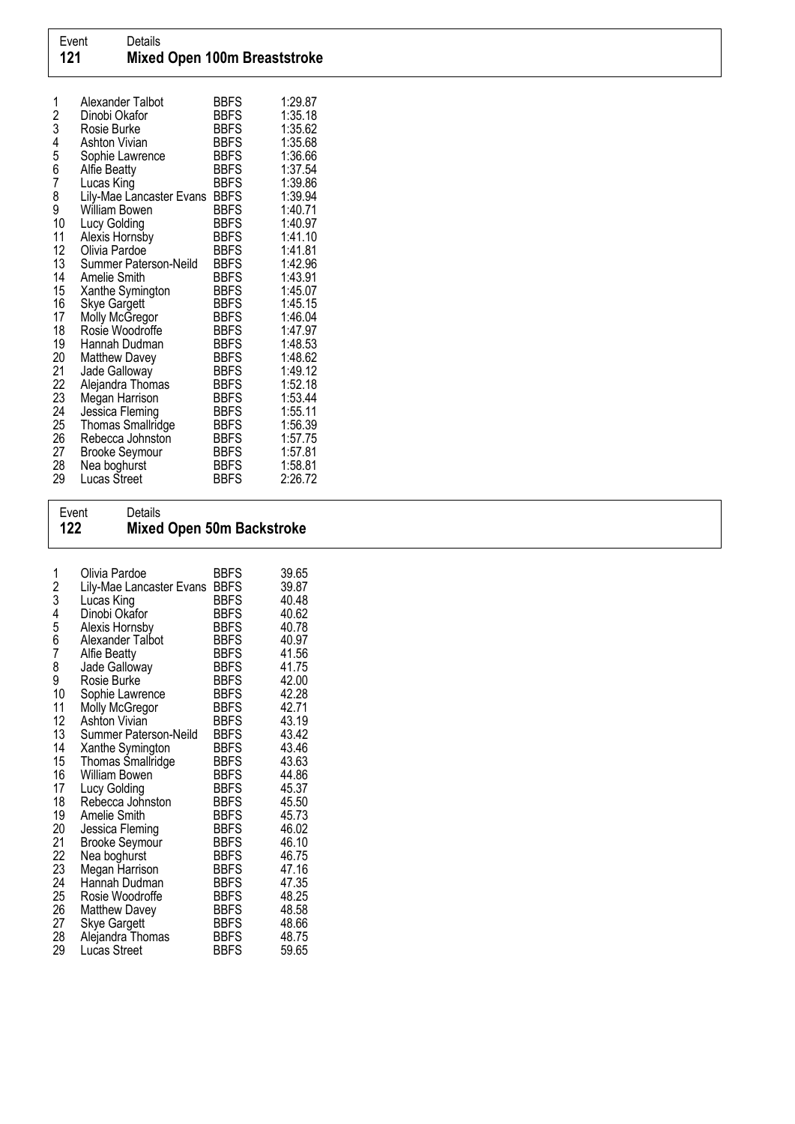| 1      | Alexander Talbot<br>Dinobi Okafor | <b>BBFS</b><br><b>BBFS</b> | 1:29.87<br>1:35.18 |
|--------|-----------------------------------|----------------------------|--------------------|
| 2<br>3 | Rosie Burke                       | <b>BBFS</b>                | 1:35.62            |
| 4      | <b>Ashton Vivian</b>              | <b>BBFS</b>                | 1:35.68            |
|        | Sophie Lawrence                   | <b>BBFS</b>                | 1:36.66            |
| 5<br>6 | <b>Alfie Beatty</b>               | <b>BBFS</b>                | 1:37.54            |
| 7      | Lucas King                        | <b>BBFS</b>                | 1:39.86            |
| 8      | Lily-Mae Lancaster Evans          | <b>BBFS</b>                | 1:39.94            |
| 9      | William Bowen                     | <b>BBFS</b>                | 1:40.71            |
| 10     | Lucy Golding                      | <b>BBFS</b>                | 1:40.97            |
| 11     | Alexis Hornsby                    | BBFS                       | 1:41.10            |
| 12     | Olivia Pardoe                     | <b>BBFS</b>                | 1:41.81            |
| 13     | Summer Paterson-Neild             | <b>BBFS</b>                | 1:42.96            |
| 14     | Amelie Smith                      | <b>BBFS</b>                | 1:43.91            |
| 15     | Xanthe Symington                  | <b>BBFS</b>                | 1:45.07            |
| 16     | <b>Skye Gargett</b>               | <b>BBFS</b>                | 1:45.15            |
| 17     | Molly McGregor                    | <b>BBFS</b>                | 1:46.04            |
| 18     | Rosie Woodroffe                   | <b>BBFS</b>                | 1:47.97            |
| 19     | Hannah Dudman                     | <b>BBFS</b>                | 1:48.53            |
| 20     | <b>Matthew Davey</b>              | <b>BBFS</b>                | 1:48.62            |
| 21     | Jade Galloway                     | <b>BBFS</b>                | 1:49.12            |
| 22     | Alejandra Thomas                  | <b>BBFS</b>                | 1:52.18            |
| 23     | Megan Harrison                    | <b>BBFS</b>                | 1:53.44            |
| 24     | Jessica Fleming                   | <b>BBFS</b>                | 1:55.11            |
| 25     | <b>Thomas Smallridge</b>          | <b>BBFS</b>                | 1:56.39            |
| 26     | Rebecca Johnston                  | <b>BBFS</b>                | 1:57.75            |
| 27     | <b>Brooke Seymour</b>             | <b>BBFS</b>                | 1:57.81            |
| 28     | Nea boghurst                      | <b>BBFS</b>                | 1:58.81            |
| 29     | Lucas Street                      | <b>BBFS</b>                | 2:26.72            |

## Event Details 122 Mixed Open 50m Backstroke

| 1<br>2<br>3<br>4<br>5<br>6<br>7<br>8<br>9<br>10<br>11<br>12<br>13<br>14<br>15<br>16 | Olivia Pardoe<br>Lily-Mae Lancaster Evans<br>Lucas King<br>Dinobi Okafor<br>Alexis Hornsby<br>Alexander Talbot<br><b>Alfie Beatty</b><br>Jade Galloway<br>Rosie Burke<br>Sophie Lawrence<br>Molly McGregor<br>Ashton Vivian<br>Summer Paterson-Neild<br>Xanthe Symington<br>Thomas Smallridge<br>William Bowen | <b>BBFS</b><br><b>BBFS</b><br><b>BBFS</b><br><b>BBFS</b><br><b>BBFS</b><br><b>BBFS</b><br><b>BBFS</b><br><b>BBFS</b><br><b>BBFS</b><br><b>BBFS</b><br><b>BBFS</b><br><b>BBFS</b><br><b>BBFS</b><br><b>BBFS</b><br><b>BBFS</b><br><b>BBFS</b> | 39.65<br>39.87<br>40.48<br>40.62<br>40.78<br>40.97<br>41.56<br>41.75<br>42.00<br>42.28<br>42.71<br>43.19<br>43.42<br>43.46<br>43.63<br>44.86 |
|-------------------------------------------------------------------------------------|----------------------------------------------------------------------------------------------------------------------------------------------------------------------------------------------------------------------------------------------------------------------------------------------------------------|----------------------------------------------------------------------------------------------------------------------------------------------------------------------------------------------------------------------------------------------|----------------------------------------------------------------------------------------------------------------------------------------------|
| 17                                                                                  | Lucy Golding                                                                                                                                                                                                                                                                                                   | BBFS                                                                                                                                                                                                                                         | 45.37                                                                                                                                        |
| 18<br>19                                                                            | Rebecca Johnston                                                                                                                                                                                                                                                                                               | <b>BBFS</b>                                                                                                                                                                                                                                  | 45.50                                                                                                                                        |
| 20                                                                                  | <b>Amelie Smith</b><br>Jessica Fleming                                                                                                                                                                                                                                                                         | <b>BBFS</b><br>BBFS                                                                                                                                                                                                                          | 45.73<br>46.02                                                                                                                               |
| $\frac{21}{22}$                                                                     | <b>Brooke Seymour</b>                                                                                                                                                                                                                                                                                          | BBFS                                                                                                                                                                                                                                         | 46.10                                                                                                                                        |
| 23                                                                                  | Nea boghurst                                                                                                                                                                                                                                                                                                   | <b>BBFS</b>                                                                                                                                                                                                                                  | 46.75                                                                                                                                        |
| 24                                                                                  | Megan Harrison<br>Hannah Dudman                                                                                                                                                                                                                                                                                | <b>BBFS</b><br><b>BBFS</b>                                                                                                                                                                                                                   | 47.16<br>47.35                                                                                                                               |
| 25                                                                                  | Rosie Woodroffe                                                                                                                                                                                                                                                                                                | <b>BBFS</b>                                                                                                                                                                                                                                  | 48.25                                                                                                                                        |
| 26                                                                                  | <b>Matthew Davey</b>                                                                                                                                                                                                                                                                                           | <b>BBFS</b>                                                                                                                                                                                                                                  | 48.58                                                                                                                                        |
| 27                                                                                  | <b>Skye Gargett</b>                                                                                                                                                                                                                                                                                            | <b>BBFS</b>                                                                                                                                                                                                                                  | 48.66                                                                                                                                        |
| 28<br>29                                                                            | Alejandra Thomas<br>Lucas Street                                                                                                                                                                                                                                                                               | <b>BBFS</b><br>BBFS                                                                                                                                                                                                                          | 48.75<br>59.65                                                                                                                               |
|                                                                                     |                                                                                                                                                                                                                                                                                                                |                                                                                                                                                                                                                                              |                                                                                                                                              |